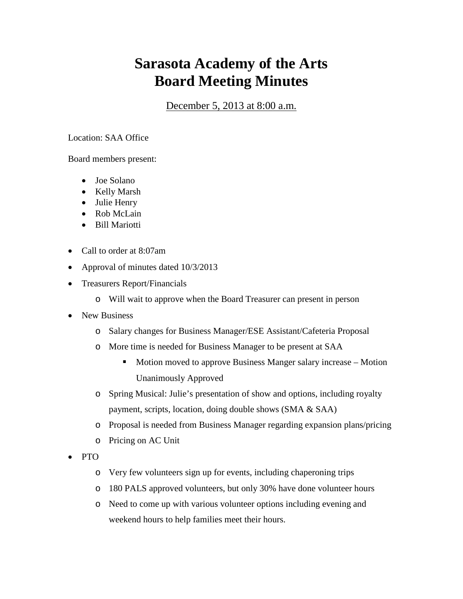## **Sarasota Academy of the Arts Board Meeting Minutes**

December 5, 2013 at 8:00 a.m.

## Location: SAA Office

Board members present:

- Joe Solano
- Kelly Marsh
- Julie Henry
- Rob McLain
- Bill Mariotti
- Call to order at 8:07am
- Approval of minutes dated 10/3/2013
- Treasurers Report/Financials
	- o Will wait to approve when the Board Treasurer can present in person
- New Business
	- o Salary changes for Business Manager/ESE Assistant/Cafeteria Proposal
	- o More time is needed for Business Manager to be present at SAA
		- Motion moved to approve Business Manger salary increase Motion Unanimously Approved
	- o Spring Musical: Julie's presentation of show and options, including royalty payment, scripts, location, doing double shows (SMA & SAA)
	- o Proposal is needed from Business Manager regarding expansion plans/pricing
	- o Pricing on AC Unit
- PTO
	- o Very few volunteers sign up for events, including chaperoning trips
	- o 180 PALS approved volunteers, but only 30% have done volunteer hours
	- o Need to come up with various volunteer options including evening and weekend hours to help families meet their hours.